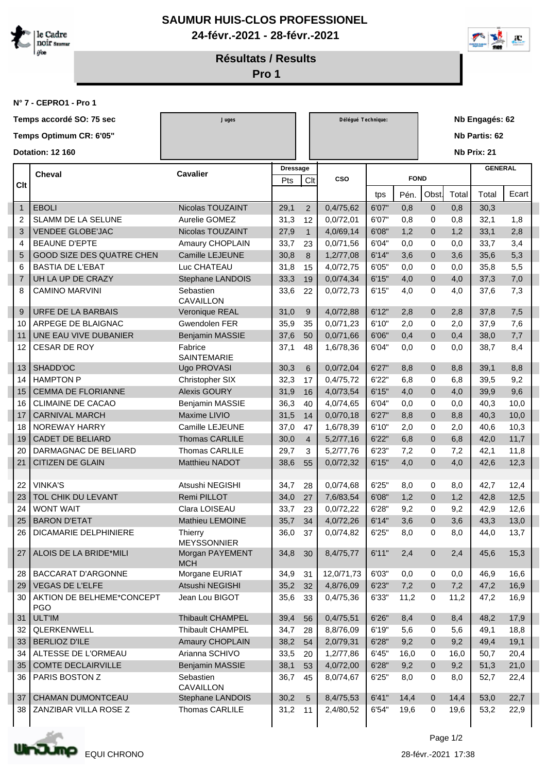

**SAUMUR HUIS-CLOS PROFESSIONEL 24-févr.-2021 - 28-févr.-2021**



**Résultats / Results**

**Pro 1**

**N° 7 - CEPRO1 - Pro 1**

|                         | Temps accordé SO: 75 sec                | Juges                                |                 |                | Délégué Technique: |       |             |                | Nb Engagés: 62 |                |       |  |  |  |
|-------------------------|-----------------------------------------|--------------------------------------|-----------------|----------------|--------------------|-------|-------------|----------------|----------------|----------------|-------|--|--|--|
| Temps Optimum CR: 6'05" |                                         |                                      |                 |                |                    |       |             |                |                | Nb Partis: 62  |       |  |  |  |
|                         |                                         |                                      |                 |                |                    |       |             |                |                |                |       |  |  |  |
| <b>Dotation: 12 160</b> |                                         |                                      |                 |                |                    |       |             |                |                | Nb Prix: 21    |       |  |  |  |
| <b>Cheval</b><br>Clt    |                                         | <b>Cavalier</b>                      | <b>Dressage</b> |                |                    |       |             |                |                | <b>GENERAL</b> |       |  |  |  |
|                         |                                         |                                      | Pts             | Clt            | <b>CSO</b>         |       | <b>FOND</b> |                |                |                |       |  |  |  |
|                         |                                         |                                      |                 |                |                    | tps   | Pén.        | Obst           | Total          | Total          | Ecart |  |  |  |
| $\mathbf{1}$            | <b>EBOLI</b>                            | Nicolas TOUZAINT                     | 29,1            | $\overline{2}$ | 0,4/75,62          | 6'07" | 0,8         | $\mathbf 0$    | 0,8            | 30,3           |       |  |  |  |
| 2                       | SLAMM DE LA SELUNE                      | Aurelie GOMEZ                        | 31,3            | 12             | 0,0/72,01          | 6'07" | 0,8         | 0              | 0,8            | 32,1           | 1,8   |  |  |  |
| 3                       | <b>VENDEE GLOBE'JAC</b>                 | Nicolas TOUZAINT                     | 27,9            | $\mathbf{1}$   | 4,0/69,14          | 6'08" | 1,2         | $\mathbf 0$    | 1,2            | 33,1           | 2,8   |  |  |  |
| 4                       | <b>BEAUNE D'EPTE</b>                    | Amaury CHOPLAIN                      | 33,7            | 23             | 0,0/71,56          | 6'04" | 0,0         | 0              | 0,0            | 33,7           | 3,4   |  |  |  |
| 5                       | <b>GOOD SIZE DES QUATRE CHEN</b>        | Camille LEJEUNE                      | 30,8            | 8              | 1,2/77,08          | 6'14" | 3,6         | $\mathbf{0}$   | 3,6            | 35,6           | 5,3   |  |  |  |
| 6                       | <b>BASTIA DE L'EBAT</b>                 | Luc CHATEAU                          | 31,8            | 15             | 4,0/72,75          | 6'05" | 0,0         | 0              | 0,0            | 35,8           | 5,5   |  |  |  |
| 7                       | UH LA UP DE CRAZY                       | Stephane LANDOIS                     | 33,3            | 19             | 0,0/74,34          | 6'15" | 4,0         | $\mathbf 0$    | 4,0            | 37,3           | 7,0   |  |  |  |
| 8                       | <b>CAMINO MARVINI</b>                   | Sebastien<br><b>CAVAILLON</b>        | 33,6            | 22             | 0,0/72,73          | 6'15" | 4,0         | 0              | 4,0            | 37,6           | 7,3   |  |  |  |
| 9                       | URFE DE LA BARBAIS                      | Veronique REAL                       | 31,0            | 9              | 4,0/72,88          | 6'12" | 2,8         | $\mathbf{0}$   | 2,8            | 37,8           | 7,5   |  |  |  |
| 10                      | ARPEGE DE BLAIGNAC                      | Gwendolen FER                        | 35,9            | 35             | 0,0/71,23          | 6'10" | 2,0         | $\mathbf 0$    | 2,0            | 37,9           | 7,6   |  |  |  |
| 11                      | UNE EAU VIVE DUBANIER                   | Benjamin MASSIE                      | 37,6            | 50             | 0,0/71,66          | 6'06" | 0,4         | $\mathbf{0}$   | 0,4            | 38,0           | 7,7   |  |  |  |
| 12                      | CESAR DE ROY                            | Fabrice<br><b>SAINTEMARIE</b>        | 37,1            | 48             | 1,6/78,36          | 6'04" | 0,0         | $\Omega$       | 0,0            | 38,7           | 8,4   |  |  |  |
| 13                      | SHADD'OC                                | Ugo PROVASI                          | 30,3            | 6              | 0,0/72,04          | 6'27' | 8,8         | $\mathbf 0$    | 8,8            | 39,1           | 8,8   |  |  |  |
| 14                      | <b>HAMPTON P</b>                        | Christopher SIX                      | 32,3            | 17             | 0,4/75,72          | 6'22" | 6,8         | 0              | 6,8            | 39,5           | 9,2   |  |  |  |
| 15                      | <b>CEMMA DE FLORIANNE</b>               | <b>Alexis GOURY</b>                  | 31,9            | 16             | 4,0/73,54          | 6'15" | 4,0         | $\mathbf 0$    | 4,0            | 39,9           | 9,6   |  |  |  |
| 16                      | <b>CLIMAINE DE CACAO</b>                | Benjamin MASSIE                      | 36,3            | 40             | 4,0/74,65          | 6'04" | 0,0         | 0              | 0,0            | 40,3           | 10,0  |  |  |  |
| 17                      | <b>CARNIVAL MARCH</b>                   | Maxime LIVIO                         | 31,5            | 14             | 0,0/70,18          | 6'27" | 8,8         | $\overline{0}$ | 8,8            | 40,3           | 10,0  |  |  |  |
| 18                      | <b>NOREWAY HARRY</b>                    | Camille LEJEUNE                      | 37,0            | 47             | 1,6/78,39          | 6'10" | 2,0         | $\mathbf 0$    | 2,0            | 40,6           | 10,3  |  |  |  |
| 19                      | <b>CADET DE BELIARD</b>                 | <b>Thomas CARLILE</b>                | 30,0            | $\overline{4}$ | 5,2/77,16          | 6'22" | 6,8         | $\overline{0}$ | 6,8            | 42,0           | 11,7  |  |  |  |
| 20                      | DARMAGNAC DE BELIARD                    | <b>Thomas CARLILE</b>                | 29,7            | 3              | 5,2/77,76          | 6'23" | 7,2         | 0              | 7,2            | 42,1           | 11,8  |  |  |  |
| 21                      | <b>CITIZEN DE GLAIN</b>                 | <b>Matthieu NADOT</b>                | 38,6            | 55             | 0,0/72,32          | 6'15" | 4,0         | $\overline{0}$ | 4,0            | 42,6           | 12,3  |  |  |  |
|                         |                                         |                                      |                 |                |                    |       |             |                |                |                |       |  |  |  |
| 22                      | <b>VINKA'S</b>                          | Atsushi NEGISHI                      | 34,7            | 28             | 0,0/74,68          | 6'25" | 8,0         | 0              | 8,0            | 42,7           | 12,4  |  |  |  |
| 23                      | TOL CHIK DU LEVANT                      | Remi PILLOT                          | 34,0            | 27             | 7,6/83,54          | 6'08" | 1,2         | $\mathbf 0$    | 1,2            | 42,8           | 12,5  |  |  |  |
| 24                      | <b>WONT WAIT</b>                        | Clara LOISEAU                        | 33,7            | 23             | 0,0/72,22          | 6'28" | 9,2         | 0              | 9,2            | 42,9           | 12,6  |  |  |  |
| 25                      | <b>BARON D'ETAT</b>                     | Mathieu LEMOINE                      | 35,7            | 34             | 4,0/72,26          | 6'14" | 3,6         | $\Omega$       | 3,6            | 43,3           | 13,0  |  |  |  |
| 26                      | DICAMARIE DELPHINIERE                   | <b>Thierry</b><br><b>MEYSSONNIER</b> | 36,0            | 37             | 0,0/74,82          | 6'25" | 8,0         | 0              | 8,0            | 44,0           | 13,7  |  |  |  |
| 27                      | ALOIS DE LA BRIDE*MILI                  | Morgan PAYEMENT<br><b>MCH</b>        | 34,8            | 30             | 8,4/75,77          | 6'11" | 2,4         | $\mathbf{0}$   | 2,4            | 45,6           | 15,3  |  |  |  |
| 28                      | <b>BACCARAT D'ARGONNE</b>               | Morgane EURIAT                       | 34,9            | 31             | 12,0/71,73         | 6'03" | 0,0         | 0              | 0,0            | 46,9           | 16,6  |  |  |  |
| 29                      | VEGAS DE L'ELFE                         | Atsushi NEGISHI                      | 35,2            | 32             | 4,8/76,09          | 6'23" | 7,2         | $\overline{0}$ | 7,2            | 47,2           | 16,9  |  |  |  |
| 30                      | AKTION DE BELHEME*CONCEPT<br><b>PGO</b> | Jean Lou BIGOT                       | 35,6            | 33             | 0,4/75,36          | 6'33" | 11,2        | 0              | 11,2           | 47,2           | 16,9  |  |  |  |
| 31                      | <b>ULT'IM</b>                           | Thibault CHAMPEL                     | 39,4            | 56             | 0,4/75,51          | 6'26" | 8,4         | $\mathbf 0$    | 8,4            | 48,2           | 17,9  |  |  |  |
| 32                      | QLERKENWELL                             | Thibault CHAMPEL                     | 34,7            | 28             | 8,8/76,09          | 6'19" | 5,6         | 0              | 5,6            | 49,1           | 18,8  |  |  |  |
| 33                      | <b>BERLIOZ D'ILE</b>                    | Amaury CHOPLAIN                      | 38,2            | 54             | 2,0/79,31          | 6'28" | 9,2         | $\overline{0}$ | 9,2            | 49,4           | 19,1  |  |  |  |
| 34                      | ALTESSE DE L'ORMEAU                     | Arianna SCHIVO                       | 33,5            | 20             | 1,2/77,86          | 6'45" | 16,0        | 0              | 16,0           | 50,7           | 20,4  |  |  |  |
| 35                      | <b>COMTE DECLAIRVILLE</b>               | Benjamin MASSIE                      | 38,1            | 53             | 4,0/72,00          | 6'28" | 9,2         | $\mathbf 0$    | 9,2            | 51,3           | 21,0  |  |  |  |
| 36                      | PARIS BOSTON Z                          | Sebastien<br>CAVAILLON               | 36,7            | 45             | 8,0/74,67          | 6'25" | 8,0         | $\mathbf 0$    | 8,0            | 52,7           | 22,4  |  |  |  |
| 37                      | CHAMAN DUMONTCEAU                       | Stephane LANDOIS                     | 30,2            | 5              | 8,4/75,53          | 6'41" | 14,4        | $\mathbf{0}$   | 14,4           | 53,0           | 22,7  |  |  |  |
| 38                      | ZANZIBAR VILLA ROSE Z                   | Thomas CARLILE                       | 31,2            | 11             | 2,4/80,52          | 6'54" | 19,6        | 0              | 19,6           | 53,2           | 22,9  |  |  |  |



28-févr.-2021 EQUI CHRONO 17:38